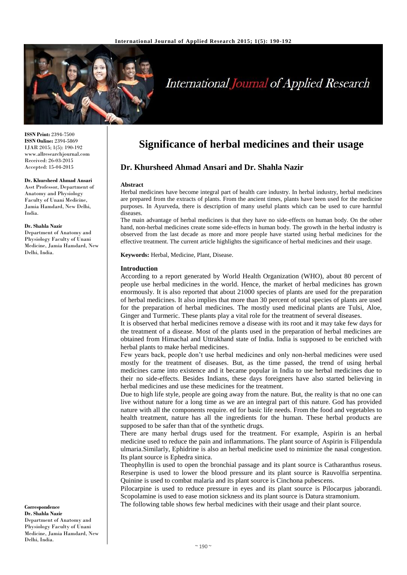

# International Journal of Applied Research

**ISSN Print:** 2394-7500 **ISSN Online:** 2394-5869 IJAR 2015; 1(5): 190-192 www.allresearchjournal.com Received: 26-03-2015 Accepted: 15-04-2015

#### **Dr. Khursheed Ahmad Ansari**

Asst Professor, Department of Anatomy and Physiology Faculty of Unani Medicine, Jamia Hamdard, New Delhi, India.

#### **Dr. Shahla Nazir**

Department of Anatomy and Physiology Faculty of Unani Medicine, Jamia Hamdard, New Delhi, India.

# **Dr. Khursheed Ahmad Ansari and Dr. Shahla Nazir**

#### **Abstract**

Herbal medicines have become integral part of health care industry. In herbal industry, herbal medicines are prepared from the extracts of plants. From the ancient times, plants have been used for the medicine purposes. In Ayurveda, there is description of many useful plants which can be used to cure harmful diseases.

**Significance of herbal medicines and their usage**

The main advantage of herbal medicines is that they have no side-effects on human body. On the other hand, non-herbal medicines create some side-effects in human body. The growth in the herbal industry is observed from the last decade as more and more people have started using herbal medicines for the effective treatment. The current article highlights the significance of herbal medicines and their usage.

**Keywords:** Herbal, Medicine, Plant, Disease.

#### **Introduction**

According to a report generated by World Health Organization (WHO), about 80 percent of people use herbal medicines in the world. Hence, the market of herbal medicines has grown enormously. It is also reported that about 21000 species of plants are used for the preparation of herbal medicines. It also implies that more than 30 percent of total species of plants are used for the preparation of herbal medicines. The mostly used medicinal plants are Tulsi, Aloe, Ginger and Turmeric. These plants play a vital role for the treatment of several diseases.

It is observed that herbal medicines remove a disease with its root and it may take few days for the treatment of a disease. Most of the plants used in the preparation of herbal medicines are obtained from Himachal and Uttrakhand state of India. India is supposed to be enriched with herbal plants to make herbal medicines.

Few years back, people don't use herbal medicines and only non-herbal medicines were used mostly for the treatment of diseases. But, as the time passed, the trend of using herbal medicines came into existence and it became popular in India to use herbal medicines due to their no side-effects. Besides Indians, these days foreigners have also started believing in herbal medicines and use these medicines for the treatment.

Due to high life style, people are going away from the nature. But, the reality is that no one can live without nature for a long time as we are an integral part of this nature. God has provided nature with all the components require. ed for basic life needs. From the food and vegetables to health treatment, nature has all the ingredients for the human. These herbal products are supposed to be safer than that of the synthetic drugs.

There are many herbal drugs used for the treatment. For example, Aspirin is an herbal medicine used to reduce the pain and inflammations. The plant source of Aspirin is Filipendula ulmaria.Similarly, Ephidrine is also an herbal medicine used to minimize the nasal congestion. Its plant source is Ephedra sinica.

Theophyllin is used to open the bronchial passage and its plant source is Catharanthus roseus. Reserpine is used to lower the blood pressure and its plant source is Rauvolfia serpentina. Quinine is used to combat malaria and its plant source is Cinchona pubescens.

Pilocarpine is used to reduce pressure in eyes and its plant source is Pilocarpus jaborandi. Scopolamine is used to ease motion sickness and its plant source is Datura stramonium.

The following table shows few herbal medicines with their usage and their plant source.

**Correspondence Dr. Shahla Nazir** Department of Anatomy and Physiology Faculty of Unani Medicine, Jamia Hamdard, New Delhi, India.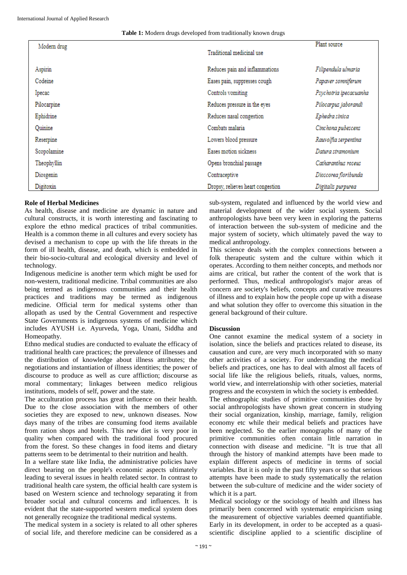International Journal of Applied Research

### **Table 1:** Modern drugs developed from traditionally known drugs

| Modern drug |                                   | Plant source           |
|-------------|-----------------------------------|------------------------|
|             | Traditional medicinal use         |                        |
| Aspirin     | Reduces pain and inflammations    | Filipendula ulmaria    |
| Codeine     | Eases pain, suppresses cough      | Papaver somniferum     |
| Ipecac      | Controls vomiting                 | Psychotria ipecacuanha |
| Pilocarpine | Reduces pressure in the eyes      | Pilocarpus jaborandi   |
| Ephidrine   | Reduces nasal congestion          | Ephedra sinica         |
| Ouinine     | Combats malaria                   | Cinchona pubescens     |
| Reserpine   | Lowers blood pressure             | Rauvolfia serpentina   |
| Scopolamine | Eases motion sickness             | Datura stramonium      |
| Theophyllin | Opens bronchial passage           | Catharanthus roseus    |
| Diosgenin   | Contraceptive                     | Dioscorea floribunda   |
| Digitoxin   | Dropsy, relieves heart congestion | Digitalis purpurea     |

# **Role of Herbal Medicines**

As health, disease and medicine are dynamic in nature and cultural constructs, it is worth interesting and fascinating to explore the ethno medical practices of tribal communities. Health is a common theme in all cultures and every society has devised a mechanism to cope up with the life threats in the form of ill health, disease, and death, which is embedded in their bio-socio-cultural and ecological diversity and level of technology.

Indigenous medicine is another term which might be used for non-western, traditional medicine. Tribal communities are also being termed as indigenous communities and their health practices and traditions may be termed as indigenous medicine. Official term for medical systems other than allopath as used by the Central Government and respective State Governments is indigenous systems of medicine which includes AYUSH i.e. Ayurveda, Yoga, Unani, Siddha and Homeopathy.

Ethno medical studies are conducted to evaluate the efficacy of traditional health care practices; the prevalence of illnesses and the distribution of knowledge about illness attributes; the negotiations and instantiation of illness identities; the power of discourse to produce as well as cure affliction; discourse as moral commentary; linkages between medico religious institutions, models of self, power and the state.

The acculturation process has great influence on their health. Due to the close association with the members of other societies they are exposed to new, unknown diseases. Now days many of the tribes are consuming food items available from ration shops and hotels. This new diet is very poor in quality when compared with the traditional food procured from the forest. So these changes in food items and dietary patterns seem to be detrimental to their nutrition and health.

In a welfare state like India, the administrative policies have direct bearing on the people's economic aspects ultimately leading to several issues in health related sector. In contrast to traditional health care system, the official health care system is based on Western science and technology separating it from broader social and cultural concerns and influences. It is evident that the state-supported western medical system does not generally recognize the traditional medical systems.

The medical system in a society is related to all other spheres of social life, and therefore medicine can be considered as a

sub-system, regulated and influenced by the world view and material development of the wider social system. Social anthropologists have been very keen in exploring the patterns of interaction between the sub-system of medicine and the major system of society, which ultimately paved the way to medical anthropology.

This science deals with the complex connections between a folk therapeutic system and the culture within which it operates. According to them neither concepts, and methods nor aims are critical, but rather the content of the work that is performed. Thus, medical anthropologist's major areas of concern are society's beliefs, concepts and curative measures of illness and to explain how the people cope up with a disease and what solution they offer to overcome this situation in the general background of their culture.

# **Discussion**

One cannot examine the medical system of a society in isolation, since the beliefs and practices related to disease, its causation and cure, are very much incorporated with so many other activities of a society. For understanding the medical beliefs and practices, one has to deal with almost all facets of social life like the religious beliefs, rituals, values, norms, world view, and interrelationship with other societies, material progress and the ecosystem in which the society is embedded.

The ethnographic studies of primitive communities done by social anthropologists have shown great concern in studying their social organization, kinship, marriage, family, religion economy etc while their medical beliefs and practices have been neglected. So the earlier monographs of many of the primitive communities often contain little narration in connection with disease and medicine. "It is true that all through the history of mankind attempts have been made to explain different aspects of medicine in terms of social variables. But it is only in the past fifty years or so that serious attempts have been made to study systematically the relation between the sub-culture of medicine and the wider society of which it is a part.

Medical sociology or the sociology of health and illness has primarily been concerned with systematic empiricism using the measurement of objective variables deemed quantifiable. Early in its development, in order to be accepted as a quasiscientific discipline applied to a scientific discipline of